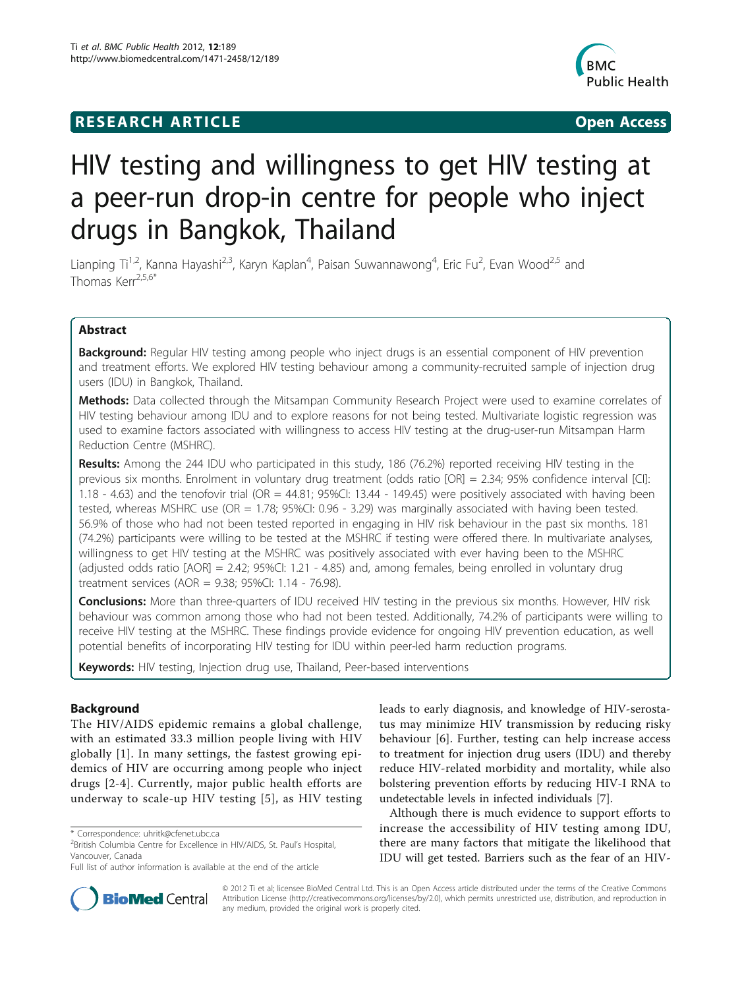## **RESEARCH ARTICLE Example 2018 CONSIDERING ACCESS**



# HIV testing and willingness to get HIV testing at a peer-run drop-in centre for people who inject drugs in Bangkok, Thailand

Lianping Ti<sup>1,2</sup>, Kanna Hayashi<sup>2,3</sup>, Karyn Kaplan<sup>4</sup>, Paisan Suwannawong<sup>4</sup>, Eric Fu<sup>2</sup>, Evan Wood<sup>2,5</sup> and Thomas Kerr2,5,6\*

## Abstract

**Background:** Regular HIV testing among people who inject drugs is an essential component of HIV prevention and treatment efforts. We explored HIV testing behaviour among a community-recruited sample of injection drug users (IDU) in Bangkok, Thailand.

Methods: Data collected through the Mitsampan Community Research Project were used to examine correlates of HIV testing behaviour among IDU and to explore reasons for not being tested. Multivariate logistic regression was used to examine factors associated with willingness to access HIV testing at the drug-user-run Mitsampan Harm Reduction Centre (MSHRC).

Results: Among the 244 IDU who participated in this study, 186 (76.2%) reported receiving HIV testing in the previous six months. Enrolment in voluntary drug treatment (odds ratio [OR] = 2.34; 95% confidence interval [CI]: 1.18 - 4.63) and the tenofovir trial (OR = 44.81; 95%CI: 13.44 - 149.45) were positively associated with having been tested, whereas MSHRC use (OR = 1.78; 95%CI: 0.96 - 3.29) was marginally associated with having been tested. 56.9% of those who had not been tested reported in engaging in HIV risk behaviour in the past six months. 181 (74.2%) participants were willing to be tested at the MSHRC if testing were offered there. In multivariate analyses, willingness to get HIV testing at the MSHRC was positively associated with ever having been to the MSHRC (adjusted odds ratio [AOR] = 2.42; 95%CI: 1.21 - 4.85) and, among females, being enrolled in voluntary drug treatment services (AOR = 9.38; 95%CI: 1.14 - 76.98).

Conclusions: More than three-quarters of IDU received HIV testing in the previous six months. However, HIV risk behaviour was common among those who had not been tested. Additionally, 74.2% of participants were willing to receive HIV testing at the MSHRC. These findings provide evidence for ongoing HIV prevention education, as well potential benefits of incorporating HIV testing for IDU within peer-led harm reduction programs.

Keywords: HIV testing, Injection drug use, Thailand, Peer-based interventions

## Background

The HIV/AIDS epidemic remains a global challenge, with an estimated 33.3 million people living with HIV globally [[1\]](#page-7-0). In many settings, the fastest growing epidemics of HIV are occurring among people who inject drugs [\[2-4\]](#page-7-0). Currently, major public health efforts are underway to scale-up HIV testing [[5\]](#page-7-0), as HIV testing



Although there is much evidence to support efforts to increase the accessibility of HIV testing among IDU, there are many factors that mitigate the likelihood that IDU will get tested. Barriers such as the fear of an HIV-



© 2012 Ti et al; licensee BioMed Central Ltd. This is an Open Access article distributed under the terms of the Creative Commons Attribution License [\(http://creativecommons.org/licenses/by/2.0](http://creativecommons.org/licenses/by/2.0)), which permits unrestricted use, distribution, and reproduction in any medium, provided the original work is properly cited.

<sup>\*</sup> Correspondence: [uhritk@cfenet.ubc.ca](mailto:uhritk@cfenet.ubc.ca)

<sup>&</sup>lt;sup>2</sup> British Columbia Centre for Excellence in HIV/AIDS, St. Paul's Hospital, Vancouver, Canada

Full list of author information is available at the end of the article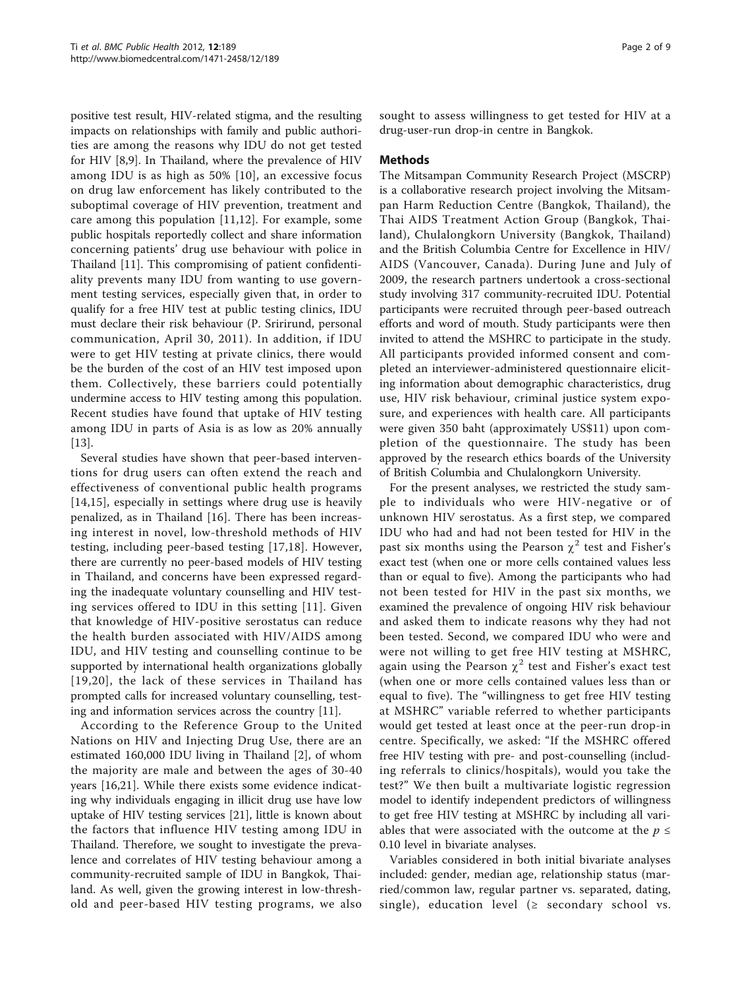positive test result, HIV-related stigma, and the resulting impacts on relationships with family and public authorities are among the reasons why IDU do not get tested for HIV [[8,9\]](#page-7-0). In Thailand, where the prevalence of HIV among IDU is as high as 50% [[10](#page-7-0)], an excessive focus on drug law enforcement has likely contributed to the suboptimal coverage of HIV prevention, treatment and care among this population [[11,12\]](#page-7-0). For example, some public hospitals reportedly collect and share information concerning patients' drug use behaviour with police in Thailand [[11\]](#page-7-0). This compromising of patient confidentiality prevents many IDU from wanting to use government testing services, especially given that, in order to qualify for a free HIV test at public testing clinics, IDU must declare their risk behaviour (P. Sririrund, personal communication, April 30, 2011). In addition, if IDU were to get HIV testing at private clinics, there would be the burden of the cost of an HIV test imposed upon them. Collectively, these barriers could potentially undermine access to HIV testing among this population. Recent studies have found that uptake of HIV testing among IDU in parts of Asia is as low as 20% annually [[13\]](#page-7-0).

Several studies have shown that peer-based interventions for drug users can often extend the reach and effectiveness of conventional public health programs [[14,15](#page-7-0)], especially in settings where drug use is heavily penalized, as in Thailand [[16\]](#page-7-0). There has been increasing interest in novel, low-threshold methods of HIV testing, including peer-based testing [[17,18\]](#page-7-0). However, there are currently no peer-based models of HIV testing in Thailand, and concerns have been expressed regarding the inadequate voluntary counselling and HIV testing services offered to IDU in this setting [[11](#page-7-0)]. Given that knowledge of HIV-positive serostatus can reduce the health burden associated with HIV/AIDS among IDU, and HIV testing and counselling continue to be supported by international health organizations globally [[19](#page-7-0),[20](#page-7-0)], the lack of these services in Thailand has prompted calls for increased voluntary counselling, testing and information services across the country [[11\]](#page-7-0).

According to the Reference Group to the United Nations on HIV and Injecting Drug Use, there are an estimated 160,000 IDU living in Thailand [\[2](#page-7-0)], of whom the majority are male and between the ages of 30-40 years [\[16,21](#page-7-0)]. While there exists some evidence indicating why individuals engaging in illicit drug use have low uptake of HIV testing services [\[21](#page-7-0)], little is known about the factors that influence HIV testing among IDU in Thailand. Therefore, we sought to investigate the prevalence and correlates of HIV testing behaviour among a community-recruited sample of IDU in Bangkok, Thailand. As well, given the growing interest in low-threshold and peer-based HIV testing programs, we also sought to assess willingness to get tested for HIV at a drug-user-run drop-in centre in Bangkok.

## Methods

The Mitsampan Community Research Project (MSCRP) is a collaborative research project involving the Mitsampan Harm Reduction Centre (Bangkok, Thailand), the Thai AIDS Treatment Action Group (Bangkok, Thailand), Chulalongkorn University (Bangkok, Thailand) and the British Columbia Centre for Excellence in HIV/ AIDS (Vancouver, Canada). During June and July of 2009, the research partners undertook a cross-sectional study involving 317 community-recruited IDU. Potential participants were recruited through peer-based outreach efforts and word of mouth. Study participants were then invited to attend the MSHRC to participate in the study. All participants provided informed consent and completed an interviewer-administered questionnaire eliciting information about demographic characteristics, drug use, HIV risk behaviour, criminal justice system exposure, and experiences with health care. All participants were given 350 baht (approximately US\$11) upon completion of the questionnaire. The study has been approved by the research ethics boards of the University of British Columbia and Chulalongkorn University.

For the present analyses, we restricted the study sample to individuals who were HIV-negative or of unknown HIV serostatus. As a first step, we compared IDU who had and had not been tested for HIV in the past six months using the Pearson  $\chi^2$  test and Fisher's exact test (when one or more cells contained values less than or equal to five). Among the participants who had not been tested for HIV in the past six months, we examined the prevalence of ongoing HIV risk behaviour and asked them to indicate reasons why they had not been tested. Second, we compared IDU who were and were not willing to get free HIV testing at MSHRC, again using the Pearson  $\chi^2$  test and Fisher's exact test (when one or more cells contained values less than or equal to five). The "willingness to get free HIV testing at MSHRC" variable referred to whether participants would get tested at least once at the peer-run drop-in centre. Specifically, we asked: "If the MSHRC offered free HIV testing with pre- and post-counselling (including referrals to clinics/hospitals), would you take the test?" We then built a multivariate logistic regression model to identify independent predictors of willingness to get free HIV testing at MSHRC by including all variables that were associated with the outcome at the  $p \leq$ 0.10 level in bivariate analyses.

Variables considered in both initial bivariate analyses included: gender, median age, relationship status (married/common law, regular partner vs. separated, dating, single), education level  $($  secondary school vs.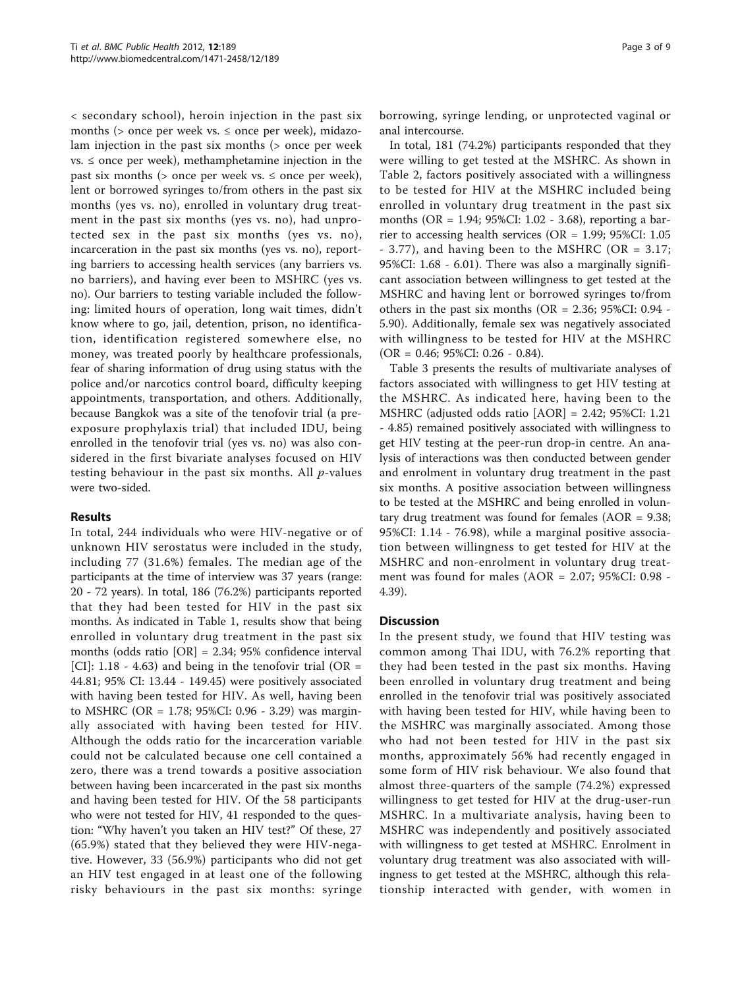< secondary school), heroin injection in the past six months ( $>$  once per week vs.  $\leq$  once per week), midazolam injection in the past six months (> once per week  $vs. ≤ once per week)$ , methamphetamine injection in the past six months ( $>$  once per week vs.  $\leq$  once per week), lent or borrowed syringes to/from others in the past six months (yes vs. no), enrolled in voluntary drug treatment in the past six months (yes vs. no), had unprotected sex in the past six months (yes vs. no), incarceration in the past six months (yes vs. no), reporting barriers to accessing health services (any barriers vs. no barriers), and having ever been to MSHRC (yes vs. no). Our barriers to testing variable included the following: limited hours of operation, long wait times, didn't know where to go, jail, detention, prison, no identification, identification registered somewhere else, no money, was treated poorly by healthcare professionals, fear of sharing information of drug using status with the police and/or narcotics control board, difficulty keeping appointments, transportation, and others. Additionally, because Bangkok was a site of the tenofovir trial (a preexposure prophylaxis trial) that included IDU, being enrolled in the tenofovir trial (yes vs. no) was also considered in the first bivariate analyses focused on HIV testing behaviour in the past six months. All  $p$ -values were two-sided.

## Results

In total, 244 individuals who were HIV-negative or of unknown HIV serostatus were included in the study, including 77 (31.6%) females. The median age of the participants at the time of interview was 37 years (range: 20 - 72 years). In total, 186 (76.2%) participants reported that they had been tested for HIV in the past six months. As indicated in Table [1,](#page-3-0) results show that being enrolled in voluntary drug treatment in the past six months (odds ratio [OR] = 2.34; 95% confidence interval [CI]:  $1.18 - 4.63$ ) and being in the tenofovir trial (OR = 44.81; 95% CI: 13.44 - 149.45) were positively associated with having been tested for HIV. As well, having been to MSHRC (OR = 1.78; 95%CI: 0.96 - 3.29) was marginally associated with having been tested for HIV. Although the odds ratio for the incarceration variable could not be calculated because one cell contained a zero, there was a trend towards a positive association between having been incarcerated in the past six months and having been tested for HIV. Of the 58 participants who were not tested for HIV, 41 responded to the question: "Why haven't you taken an HIV test?" Of these, 27 (65.9%) stated that they believed they were HIV-negative. However, 33 (56.9%) participants who did not get an HIV test engaged in at least one of the following risky behaviours in the past six months: syringe borrowing, syringe lending, or unprotected vaginal or anal intercourse.

In total, 181 (74.2%) participants responded that they were willing to get tested at the MSHRC. As shown in Table [2,](#page-4-0) factors positively associated with a willingness to be tested for HIV at the MSHRC included being enrolled in voluntary drug treatment in the past six months (OR = 1.94; 95%CI: 1.02 - 3.68), reporting a barrier to accessing health services (OR =  $1.99$ ;  $95\%$ CI:  $1.05$ - 3.77), and having been to the MSHRC (OR = 3.17; 95%CI: 1.68 - 6.01). There was also a marginally significant association between willingness to get tested at the MSHRC and having lent or borrowed syringes to/from others in the past six months ( $OR = 2.36$ ; 95%CI: 0.94 -5.90). Additionally, female sex was negatively associated with willingness to be tested for HIV at the MSHRC  $(OR = 0.46; 95\% CI: 0.26 - 0.84).$ 

Table [3](#page-5-0) presents the results of multivariate analyses of factors associated with willingness to get HIV testing at the MSHRC. As indicated here, having been to the MSHRC (adjusted odds ratio [AOR] = 2.42; 95%CI: 1.21 - 4.85) remained positively associated with willingness to get HIV testing at the peer-run drop-in centre. An analysis of interactions was then conducted between gender and enrolment in voluntary drug treatment in the past six months. A positive association between willingness to be tested at the MSHRC and being enrolled in voluntary drug treatment was found for females (AOR = 9.38; 95%CI: 1.14 - 76.98), while a marginal positive association between willingness to get tested for HIV at the MSHRC and non-enrolment in voluntary drug treatment was found for males  $(AOR = 2.07; 95\% CI: 0.98 -$ 4.39).

## **Discussion**

In the present study, we found that HIV testing was common among Thai IDU, with 76.2% reporting that they had been tested in the past six months. Having been enrolled in voluntary drug treatment and being enrolled in the tenofovir trial was positively associated with having been tested for HIV, while having been to the MSHRC was marginally associated. Among those who had not been tested for HIV in the past six months, approximately 56% had recently engaged in some form of HIV risk behaviour. We also found that almost three-quarters of the sample (74.2%) expressed willingness to get tested for HIV at the drug-user-run MSHRC. In a multivariate analysis, having been to MSHRC was independently and positively associated with willingness to get tested at MSHRC. Enrolment in voluntary drug treatment was also associated with willingness to get tested at the MSHRC, although this relationship interacted with gender, with women in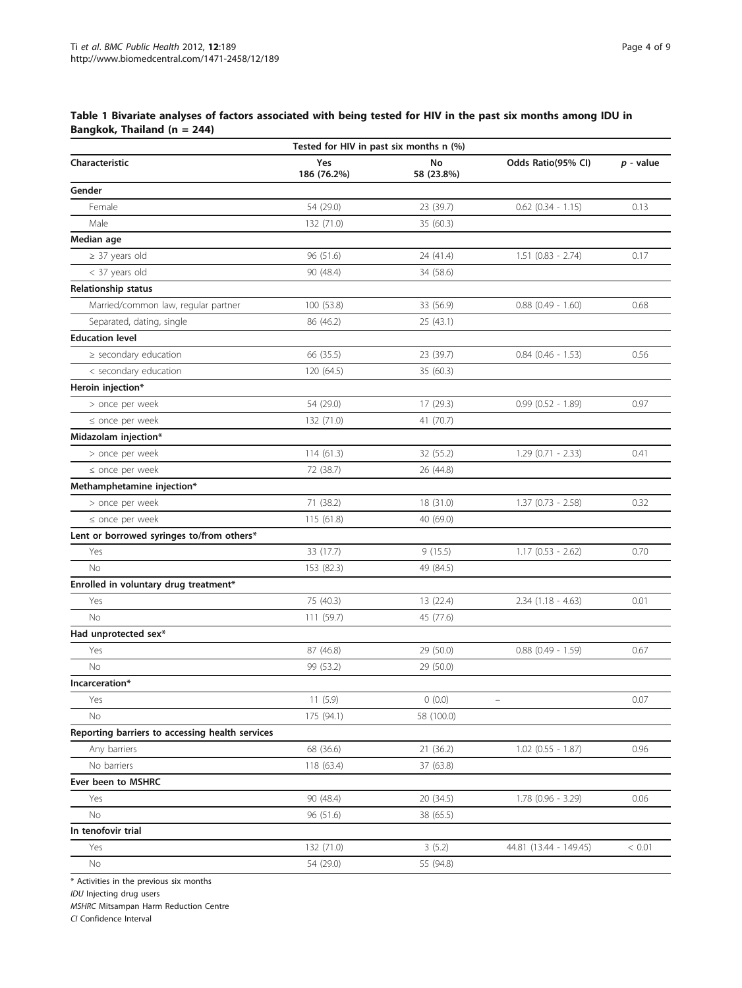## <span id="page-3-0"></span>Table 1 Bivariate analyses of factors associated with being tested for HIV in the past six months among IDU in Bangkok, Thailand (n = 244)

| Yes<br>Characteristic<br>No<br>Odds Ratio(95% CI)<br>$p$ - value<br>186 (76.2%)<br>58 (23.8%)<br>Gender<br>Female<br>54 (29.0)<br>23 (39.7)<br>$0.62$ $(0.34 - 1.15)$<br>0.13<br>Male<br>132 (71.0)<br>35 (60.3)<br>Median age<br>$\geq$ 37 years old<br>96 (51.6)<br>$1.51$ $(0.83 - 2.74)$<br>0.17<br>24 (41.4)<br>< 37 years old<br>90 (48.4)<br>34 (58.6)<br>Relationship status<br>Married/common law, regular partner<br>100 (53.8)<br>33 (56.9)<br>$0.88$ $(0.49 - 1.60)$<br>0.68<br>Separated, dating, single<br>86 (46.2)<br>25(43.1)<br><b>Education level</b><br>$\ge$ secondary education<br>66 (35.5)<br>23 (39.7)<br>$0.84$ (0.46 - 1.53)<br>0.56<br>< secondary education<br>120 (64.5)<br>35 (60.3)<br>Heroin injection*<br>> once per week<br>54 (29.0)<br>0.97<br>17 (29.3)<br>$0.99$ $(0.52 - 1.89)$<br>132 (71.0)<br>41 (70.7)<br>$\leq$ once per week<br>Midazolam injection*<br>> once per week<br>32 (55.2)<br>$1.29$ (0.71 - 2.33)<br>0.41<br>114(61.3)<br>$\le$ once per week<br>72 (38.7)<br>26 (44.8)<br>Methamphetamine injection*<br>> once per week<br>71 (38.2)<br>18 (31.0)<br>$1.37$ (0.73 - 2.58)<br>0.32<br>$\le$ once per week<br>115 (61.8)<br>40 (69.0)<br>Lent or borrowed syringes to/from others*<br>$1.17$ (0.53 - 2.62)<br>Yes<br>33 (17.7)<br>9(15.5)<br>0.70<br><b>No</b><br>153 (82.3)<br>49 (84.5)<br>Enrolled in voluntary drug treatment*<br>Yes<br>75 (40.3)<br>13 (22.4)<br>$2.34$ $(1.18 - 4.63)$<br>0.01<br>No<br>111 (59.7)<br>45 (77.6)<br>Had unprotected sex*<br>Yes<br>29 (50.0)<br>0.67<br>87 (46.8)<br>$0.88$ $(0.49 - 1.59)$<br>No<br>99 (53.2)<br>29 (50.0)<br>Incarceration*<br>11(5.9)<br>0(0.0)<br>0.07<br>Yes<br>$\qquad \qquad -$<br>175 (94.1)<br>No<br>58 (100.0)<br>Reporting barriers to accessing health services<br>68 (36.6)<br>21 (36.2)<br>$1.02$ (0.55 - 1.87)<br>0.96<br>Any barriers<br>No barriers<br>37 (63.8)<br>118 (63.4)<br>Ever been to MSHRC<br>Yes<br>90 (48.4)<br>20 (34.5)<br>$1.78$ (0.96 - 3.29)<br>0.06<br>No<br>96 (51.6)<br>38 (65.5)<br>In tenofovir trial<br>Yes<br>132 (71.0)<br>3(5.2)<br>44.81 (13.44 - 149.45)<br>< 0.01<br>No<br>54 (29.0)<br>55 (94.8) | Tested for HIV in past six months n (%) |  |  |  |  |  |  |
|---------------------------------------------------------------------------------------------------------------------------------------------------------------------------------------------------------------------------------------------------------------------------------------------------------------------------------------------------------------------------------------------------------------------------------------------------------------------------------------------------------------------------------------------------------------------------------------------------------------------------------------------------------------------------------------------------------------------------------------------------------------------------------------------------------------------------------------------------------------------------------------------------------------------------------------------------------------------------------------------------------------------------------------------------------------------------------------------------------------------------------------------------------------------------------------------------------------------------------------------------------------------------------------------------------------------------------------------------------------------------------------------------------------------------------------------------------------------------------------------------------------------------------------------------------------------------------------------------------------------------------------------------------------------------------------------------------------------------------------------------------------------------------------------------------------------------------------------------------------------------------------------------------------------------------------------------------------------------------------------------------------------------------------------------------------------------------------------------------------------------------------------------------------|-----------------------------------------|--|--|--|--|--|--|
|                                                                                                                                                                                                                                                                                                                                                                                                                                                                                                                                                                                                                                                                                                                                                                                                                                                                                                                                                                                                                                                                                                                                                                                                                                                                                                                                                                                                                                                                                                                                                                                                                                                                                                                                                                                                                                                                                                                                                                                                                                                                                                                                                               |                                         |  |  |  |  |  |  |
|                                                                                                                                                                                                                                                                                                                                                                                                                                                                                                                                                                                                                                                                                                                                                                                                                                                                                                                                                                                                                                                                                                                                                                                                                                                                                                                                                                                                                                                                                                                                                                                                                                                                                                                                                                                                                                                                                                                                                                                                                                                                                                                                                               |                                         |  |  |  |  |  |  |
|                                                                                                                                                                                                                                                                                                                                                                                                                                                                                                                                                                                                                                                                                                                                                                                                                                                                                                                                                                                                                                                                                                                                                                                                                                                                                                                                                                                                                                                                                                                                                                                                                                                                                                                                                                                                                                                                                                                                                                                                                                                                                                                                                               |                                         |  |  |  |  |  |  |
|                                                                                                                                                                                                                                                                                                                                                                                                                                                                                                                                                                                                                                                                                                                                                                                                                                                                                                                                                                                                                                                                                                                                                                                                                                                                                                                                                                                                                                                                                                                                                                                                                                                                                                                                                                                                                                                                                                                                                                                                                                                                                                                                                               |                                         |  |  |  |  |  |  |
|                                                                                                                                                                                                                                                                                                                                                                                                                                                                                                                                                                                                                                                                                                                                                                                                                                                                                                                                                                                                                                                                                                                                                                                                                                                                                                                                                                                                                                                                                                                                                                                                                                                                                                                                                                                                                                                                                                                                                                                                                                                                                                                                                               |                                         |  |  |  |  |  |  |
|                                                                                                                                                                                                                                                                                                                                                                                                                                                                                                                                                                                                                                                                                                                                                                                                                                                                                                                                                                                                                                                                                                                                                                                                                                                                                                                                                                                                                                                                                                                                                                                                                                                                                                                                                                                                                                                                                                                                                                                                                                                                                                                                                               |                                         |  |  |  |  |  |  |
|                                                                                                                                                                                                                                                                                                                                                                                                                                                                                                                                                                                                                                                                                                                                                                                                                                                                                                                                                                                                                                                                                                                                                                                                                                                                                                                                                                                                                                                                                                                                                                                                                                                                                                                                                                                                                                                                                                                                                                                                                                                                                                                                                               |                                         |  |  |  |  |  |  |
|                                                                                                                                                                                                                                                                                                                                                                                                                                                                                                                                                                                                                                                                                                                                                                                                                                                                                                                                                                                                                                                                                                                                                                                                                                                                                                                                                                                                                                                                                                                                                                                                                                                                                                                                                                                                                                                                                                                                                                                                                                                                                                                                                               |                                         |  |  |  |  |  |  |
|                                                                                                                                                                                                                                                                                                                                                                                                                                                                                                                                                                                                                                                                                                                                                                                                                                                                                                                                                                                                                                                                                                                                                                                                                                                                                                                                                                                                                                                                                                                                                                                                                                                                                                                                                                                                                                                                                                                                                                                                                                                                                                                                                               |                                         |  |  |  |  |  |  |
|                                                                                                                                                                                                                                                                                                                                                                                                                                                                                                                                                                                                                                                                                                                                                                                                                                                                                                                                                                                                                                                                                                                                                                                                                                                                                                                                                                                                                                                                                                                                                                                                                                                                                                                                                                                                                                                                                                                                                                                                                                                                                                                                                               |                                         |  |  |  |  |  |  |
|                                                                                                                                                                                                                                                                                                                                                                                                                                                                                                                                                                                                                                                                                                                                                                                                                                                                                                                                                                                                                                                                                                                                                                                                                                                                                                                                                                                                                                                                                                                                                                                                                                                                                                                                                                                                                                                                                                                                                                                                                                                                                                                                                               |                                         |  |  |  |  |  |  |
|                                                                                                                                                                                                                                                                                                                                                                                                                                                                                                                                                                                                                                                                                                                                                                                                                                                                                                                                                                                                                                                                                                                                                                                                                                                                                                                                                                                                                                                                                                                                                                                                                                                                                                                                                                                                                                                                                                                                                                                                                                                                                                                                                               |                                         |  |  |  |  |  |  |
|                                                                                                                                                                                                                                                                                                                                                                                                                                                                                                                                                                                                                                                                                                                                                                                                                                                                                                                                                                                                                                                                                                                                                                                                                                                                                                                                                                                                                                                                                                                                                                                                                                                                                                                                                                                                                                                                                                                                                                                                                                                                                                                                                               |                                         |  |  |  |  |  |  |
|                                                                                                                                                                                                                                                                                                                                                                                                                                                                                                                                                                                                                                                                                                                                                                                                                                                                                                                                                                                                                                                                                                                                                                                                                                                                                                                                                                                                                                                                                                                                                                                                                                                                                                                                                                                                                                                                                                                                                                                                                                                                                                                                                               |                                         |  |  |  |  |  |  |
|                                                                                                                                                                                                                                                                                                                                                                                                                                                                                                                                                                                                                                                                                                                                                                                                                                                                                                                                                                                                                                                                                                                                                                                                                                                                                                                                                                                                                                                                                                                                                                                                                                                                                                                                                                                                                                                                                                                                                                                                                                                                                                                                                               |                                         |  |  |  |  |  |  |
|                                                                                                                                                                                                                                                                                                                                                                                                                                                                                                                                                                                                                                                                                                                                                                                                                                                                                                                                                                                                                                                                                                                                                                                                                                                                                                                                                                                                                                                                                                                                                                                                                                                                                                                                                                                                                                                                                                                                                                                                                                                                                                                                                               |                                         |  |  |  |  |  |  |
|                                                                                                                                                                                                                                                                                                                                                                                                                                                                                                                                                                                                                                                                                                                                                                                                                                                                                                                                                                                                                                                                                                                                                                                                                                                                                                                                                                                                                                                                                                                                                                                                                                                                                                                                                                                                                                                                                                                                                                                                                                                                                                                                                               |                                         |  |  |  |  |  |  |
|                                                                                                                                                                                                                                                                                                                                                                                                                                                                                                                                                                                                                                                                                                                                                                                                                                                                                                                                                                                                                                                                                                                                                                                                                                                                                                                                                                                                                                                                                                                                                                                                                                                                                                                                                                                                                                                                                                                                                                                                                                                                                                                                                               |                                         |  |  |  |  |  |  |
|                                                                                                                                                                                                                                                                                                                                                                                                                                                                                                                                                                                                                                                                                                                                                                                                                                                                                                                                                                                                                                                                                                                                                                                                                                                                                                                                                                                                                                                                                                                                                                                                                                                                                                                                                                                                                                                                                                                                                                                                                                                                                                                                                               |                                         |  |  |  |  |  |  |
|                                                                                                                                                                                                                                                                                                                                                                                                                                                                                                                                                                                                                                                                                                                                                                                                                                                                                                                                                                                                                                                                                                                                                                                                                                                                                                                                                                                                                                                                                                                                                                                                                                                                                                                                                                                                                                                                                                                                                                                                                                                                                                                                                               |                                         |  |  |  |  |  |  |
|                                                                                                                                                                                                                                                                                                                                                                                                                                                                                                                                                                                                                                                                                                                                                                                                                                                                                                                                                                                                                                                                                                                                                                                                                                                                                                                                                                                                                                                                                                                                                                                                                                                                                                                                                                                                                                                                                                                                                                                                                                                                                                                                                               |                                         |  |  |  |  |  |  |
|                                                                                                                                                                                                                                                                                                                                                                                                                                                                                                                                                                                                                                                                                                                                                                                                                                                                                                                                                                                                                                                                                                                                                                                                                                                                                                                                                                                                                                                                                                                                                                                                                                                                                                                                                                                                                                                                                                                                                                                                                                                                                                                                                               |                                         |  |  |  |  |  |  |
|                                                                                                                                                                                                                                                                                                                                                                                                                                                                                                                                                                                                                                                                                                                                                                                                                                                                                                                                                                                                                                                                                                                                                                                                                                                                                                                                                                                                                                                                                                                                                                                                                                                                                                                                                                                                                                                                                                                                                                                                                                                                                                                                                               |                                         |  |  |  |  |  |  |
|                                                                                                                                                                                                                                                                                                                                                                                                                                                                                                                                                                                                                                                                                                                                                                                                                                                                                                                                                                                                                                                                                                                                                                                                                                                                                                                                                                                                                                                                                                                                                                                                                                                                                                                                                                                                                                                                                                                                                                                                                                                                                                                                                               |                                         |  |  |  |  |  |  |
|                                                                                                                                                                                                                                                                                                                                                                                                                                                                                                                                                                                                                                                                                                                                                                                                                                                                                                                                                                                                                                                                                                                                                                                                                                                                                                                                                                                                                                                                                                                                                                                                                                                                                                                                                                                                                                                                                                                                                                                                                                                                                                                                                               |                                         |  |  |  |  |  |  |
|                                                                                                                                                                                                                                                                                                                                                                                                                                                                                                                                                                                                                                                                                                                                                                                                                                                                                                                                                                                                                                                                                                                                                                                                                                                                                                                                                                                                                                                                                                                                                                                                                                                                                                                                                                                                                                                                                                                                                                                                                                                                                                                                                               |                                         |  |  |  |  |  |  |
|                                                                                                                                                                                                                                                                                                                                                                                                                                                                                                                                                                                                                                                                                                                                                                                                                                                                                                                                                                                                                                                                                                                                                                                                                                                                                                                                                                                                                                                                                                                                                                                                                                                                                                                                                                                                                                                                                                                                                                                                                                                                                                                                                               |                                         |  |  |  |  |  |  |
|                                                                                                                                                                                                                                                                                                                                                                                                                                                                                                                                                                                                                                                                                                                                                                                                                                                                                                                                                                                                                                                                                                                                                                                                                                                                                                                                                                                                                                                                                                                                                                                                                                                                                                                                                                                                                                                                                                                                                                                                                                                                                                                                                               |                                         |  |  |  |  |  |  |
|                                                                                                                                                                                                                                                                                                                                                                                                                                                                                                                                                                                                                                                                                                                                                                                                                                                                                                                                                                                                                                                                                                                                                                                                                                                                                                                                                                                                                                                                                                                                                                                                                                                                                                                                                                                                                                                                                                                                                                                                                                                                                                                                                               |                                         |  |  |  |  |  |  |
|                                                                                                                                                                                                                                                                                                                                                                                                                                                                                                                                                                                                                                                                                                                                                                                                                                                                                                                                                                                                                                                                                                                                                                                                                                                                                                                                                                                                                                                                                                                                                                                                                                                                                                                                                                                                                                                                                                                                                                                                                                                                                                                                                               |                                         |  |  |  |  |  |  |
|                                                                                                                                                                                                                                                                                                                                                                                                                                                                                                                                                                                                                                                                                                                                                                                                                                                                                                                                                                                                                                                                                                                                                                                                                                                                                                                                                                                                                                                                                                                                                                                                                                                                                                                                                                                                                                                                                                                                                                                                                                                                                                                                                               |                                         |  |  |  |  |  |  |
|                                                                                                                                                                                                                                                                                                                                                                                                                                                                                                                                                                                                                                                                                                                                                                                                                                                                                                                                                                                                                                                                                                                                                                                                                                                                                                                                                                                                                                                                                                                                                                                                                                                                                                                                                                                                                                                                                                                                                                                                                                                                                                                                                               |                                         |  |  |  |  |  |  |
|                                                                                                                                                                                                                                                                                                                                                                                                                                                                                                                                                                                                                                                                                                                                                                                                                                                                                                                                                                                                                                                                                                                                                                                                                                                                                                                                                                                                                                                                                                                                                                                                                                                                                                                                                                                                                                                                                                                                                                                                                                                                                                                                                               |                                         |  |  |  |  |  |  |
|                                                                                                                                                                                                                                                                                                                                                                                                                                                                                                                                                                                                                                                                                                                                                                                                                                                                                                                                                                                                                                                                                                                                                                                                                                                                                                                                                                                                                                                                                                                                                                                                                                                                                                                                                                                                                                                                                                                                                                                                                                                                                                                                                               |                                         |  |  |  |  |  |  |
|                                                                                                                                                                                                                                                                                                                                                                                                                                                                                                                                                                                                                                                                                                                                                                                                                                                                                                                                                                                                                                                                                                                                                                                                                                                                                                                                                                                                                                                                                                                                                                                                                                                                                                                                                                                                                                                                                                                                                                                                                                                                                                                                                               |                                         |  |  |  |  |  |  |
|                                                                                                                                                                                                                                                                                                                                                                                                                                                                                                                                                                                                                                                                                                                                                                                                                                                                                                                                                                                                                                                                                                                                                                                                                                                                                                                                                                                                                                                                                                                                                                                                                                                                                                                                                                                                                                                                                                                                                                                                                                                                                                                                                               |                                         |  |  |  |  |  |  |
|                                                                                                                                                                                                                                                                                                                                                                                                                                                                                                                                                                                                                                                                                                                                                                                                                                                                                                                                                                                                                                                                                                                                                                                                                                                                                                                                                                                                                                                                                                                                                                                                                                                                                                                                                                                                                                                                                                                                                                                                                                                                                                                                                               |                                         |  |  |  |  |  |  |
|                                                                                                                                                                                                                                                                                                                                                                                                                                                                                                                                                                                                                                                                                                                                                                                                                                                                                                                                                                                                                                                                                                                                                                                                                                                                                                                                                                                                                                                                                                                                                                                                                                                                                                                                                                                                                                                                                                                                                                                                                                                                                                                                                               |                                         |  |  |  |  |  |  |
|                                                                                                                                                                                                                                                                                                                                                                                                                                                                                                                                                                                                                                                                                                                                                                                                                                                                                                                                                                                                                                                                                                                                                                                                                                                                                                                                                                                                                                                                                                                                                                                                                                                                                                                                                                                                                                                                                                                                                                                                                                                                                                                                                               |                                         |  |  |  |  |  |  |
|                                                                                                                                                                                                                                                                                                                                                                                                                                                                                                                                                                                                                                                                                                                                                                                                                                                                                                                                                                                                                                                                                                                                                                                                                                                                                                                                                                                                                                                                                                                                                                                                                                                                                                                                                                                                                                                                                                                                                                                                                                                                                                                                                               |                                         |  |  |  |  |  |  |
|                                                                                                                                                                                                                                                                                                                                                                                                                                                                                                                                                                                                                                                                                                                                                                                                                                                                                                                                                                                                                                                                                                                                                                                                                                                                                                                                                                                                                                                                                                                                                                                                                                                                                                                                                                                                                                                                                                                                                                                                                                                                                                                                                               |                                         |  |  |  |  |  |  |
|                                                                                                                                                                                                                                                                                                                                                                                                                                                                                                                                                                                                                                                                                                                                                                                                                                                                                                                                                                                                                                                                                                                                                                                                                                                                                                                                                                                                                                                                                                                                                                                                                                                                                                                                                                                                                                                                                                                                                                                                                                                                                                                                                               |                                         |  |  |  |  |  |  |
|                                                                                                                                                                                                                                                                                                                                                                                                                                                                                                                                                                                                                                                                                                                                                                                                                                                                                                                                                                                                                                                                                                                                                                                                                                                                                                                                                                                                                                                                                                                                                                                                                                                                                                                                                                                                                                                                                                                                                                                                                                                                                                                                                               |                                         |  |  |  |  |  |  |

\* Activities in the previous six months

IDU Injecting drug users

MSHRC Mitsampan Harm Reduction Centre

CI Confidence Interval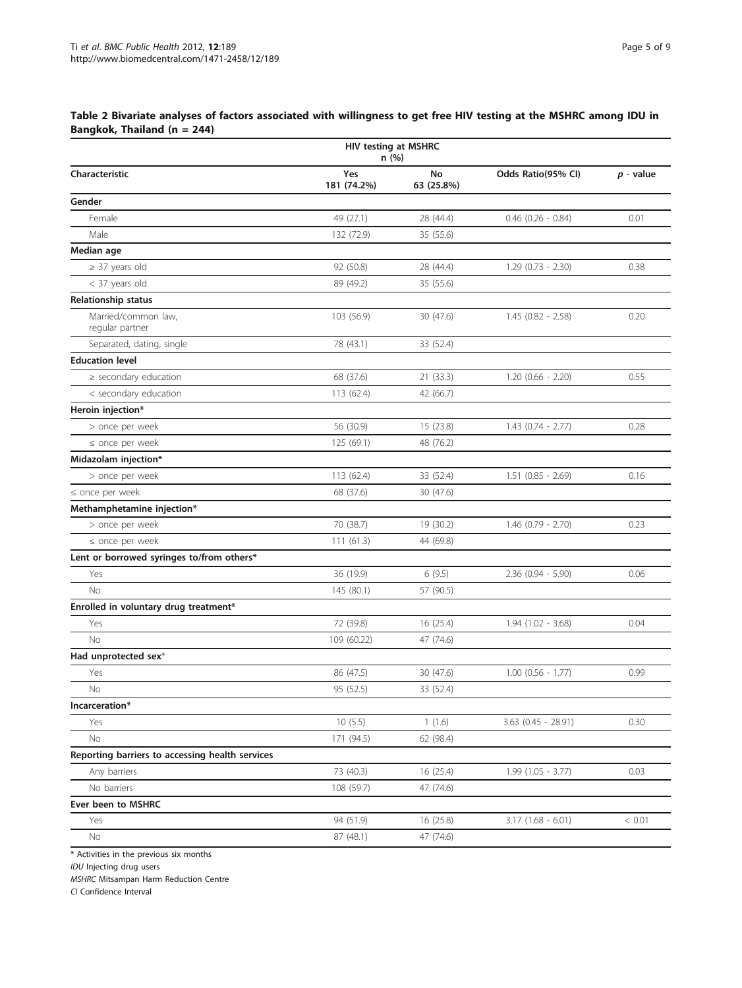## <span id="page-4-0"></span>Table 2 Bivariate analyses of factors associated with willingness to get free HIV testing at the MSHRC among IDU in Bangkok, Thailand ( $n = 244$ )

| Yes<br>No<br>Odds Ratio(95% CI)<br>$p$ - value<br>181 (74.2%)<br>63 (25.8%)<br>Female<br>49 (27.1)<br>28 (44.4)<br>$0.46$ $(0.26 - 0.84)$<br>0.01<br>Male<br>132 (72.9)<br>35 (55.6)<br>$\geq$ 37 years old<br>92 (50.8)<br>$1.29$ (0.73 - 2.30)<br>0.38<br>28 (44.4)<br>< 37 years old<br>89 (49.2)<br>35 (55.6)<br>Married/common law,<br>103 (56.9)<br>30 (47.6)<br>$1.45(0.82 - 2.58)$<br>0.20<br>regular partner<br>Separated, dating, single<br>78 (43.1)<br>33 (52.4)<br>$\ge$ secondary education<br>0.55<br>68 (37.6)<br>21 (33.3)<br>$1.20$ (0.66 - 2.20)<br>< secondary education<br>113 (62.4)<br>42 (66.7)<br>56 (30.9)<br>$1.43$ (0.74 - 2.77)<br>0.28<br>> once per week<br>15 (23.8)<br>$\le$ once per week<br>125 (69.1)<br>48 (76.2)<br>> once per week<br>113 (62.4)<br>33 (52.4)<br>$1.51$ (0.85 - 2.69)<br>0.16<br>68 (37.6)<br>30 (47.6)<br>0.23<br>> once per week<br>70 (38.7)<br>19 (30.2)<br>$1.46$ (0.79 - 2.70)<br>$\le$ once per week<br>111(61.3)<br>44 (69.8)<br>Yes<br>36 (19.9)<br>6(9.5)<br>$2.36$ (0.94 - 5.90)<br>0.06<br>57 (90.5)<br>No<br>145 (80.1)<br>Yes<br>72 (39.8)<br>16 (25.4)<br>$1.94(1.02 - 3.68)$<br>0.04<br>No<br>109 (60.22)<br>47 (74.6)<br>Yes<br>86 (47.5)<br>30 (47.6)<br>$1.00$ (0.56 - 1.77)<br>0.99<br>No<br>95 (52.5)<br>33 (52.4)<br>Yes<br>10(5.5)<br>1(1.6)<br>0.30<br>$3.63$ (0.45 - 28.91)<br>No<br>171 (94.5)<br>62 (98.4)<br>Reporting barriers to accessing health services<br>73 (40.3)<br>0.03<br>Any barriers<br>16(25.4)<br>$1.99(1.05 - 3.77)$<br>No barriers<br>108 (59.7)<br>47 (74.6)<br>Yes<br>94 (51.9)<br>16 (25.8)<br>$3.17(1.68 - 6.01)$<br>< 0.01<br>No<br>87 (48.1)<br>47 (74.6) |                                           | HIV testing at MSHRC<br>n(%) |  |  |
|---------------------------------------------------------------------------------------------------------------------------------------------------------------------------------------------------------------------------------------------------------------------------------------------------------------------------------------------------------------------------------------------------------------------------------------------------------------------------------------------------------------------------------------------------------------------------------------------------------------------------------------------------------------------------------------------------------------------------------------------------------------------------------------------------------------------------------------------------------------------------------------------------------------------------------------------------------------------------------------------------------------------------------------------------------------------------------------------------------------------------------------------------------------------------------------------------------------------------------------------------------------------------------------------------------------------------------------------------------------------------------------------------------------------------------------------------------------------------------------------------------------------------------------------------------------------------------------------------------------------------------------------------------------------|-------------------------------------------|------------------------------|--|--|
|                                                                                                                                                                                                                                                                                                                                                                                                                                                                                                                                                                                                                                                                                                                                                                                                                                                                                                                                                                                                                                                                                                                                                                                                                                                                                                                                                                                                                                                                                                                                                                                                                                                                     | Characteristic                            |                              |  |  |
|                                                                                                                                                                                                                                                                                                                                                                                                                                                                                                                                                                                                                                                                                                                                                                                                                                                                                                                                                                                                                                                                                                                                                                                                                                                                                                                                                                                                                                                                                                                                                                                                                                                                     | Gender                                    |                              |  |  |
|                                                                                                                                                                                                                                                                                                                                                                                                                                                                                                                                                                                                                                                                                                                                                                                                                                                                                                                                                                                                                                                                                                                                                                                                                                                                                                                                                                                                                                                                                                                                                                                                                                                                     |                                           |                              |  |  |
|                                                                                                                                                                                                                                                                                                                                                                                                                                                                                                                                                                                                                                                                                                                                                                                                                                                                                                                                                                                                                                                                                                                                                                                                                                                                                                                                                                                                                                                                                                                                                                                                                                                                     |                                           |                              |  |  |
|                                                                                                                                                                                                                                                                                                                                                                                                                                                                                                                                                                                                                                                                                                                                                                                                                                                                                                                                                                                                                                                                                                                                                                                                                                                                                                                                                                                                                                                                                                                                                                                                                                                                     | Median age                                |                              |  |  |
|                                                                                                                                                                                                                                                                                                                                                                                                                                                                                                                                                                                                                                                                                                                                                                                                                                                                                                                                                                                                                                                                                                                                                                                                                                                                                                                                                                                                                                                                                                                                                                                                                                                                     |                                           |                              |  |  |
|                                                                                                                                                                                                                                                                                                                                                                                                                                                                                                                                                                                                                                                                                                                                                                                                                                                                                                                                                                                                                                                                                                                                                                                                                                                                                                                                                                                                                                                                                                                                                                                                                                                                     |                                           |                              |  |  |
|                                                                                                                                                                                                                                                                                                                                                                                                                                                                                                                                                                                                                                                                                                                                                                                                                                                                                                                                                                                                                                                                                                                                                                                                                                                                                                                                                                                                                                                                                                                                                                                                                                                                     | <b>Relationship status</b>                |                              |  |  |
|                                                                                                                                                                                                                                                                                                                                                                                                                                                                                                                                                                                                                                                                                                                                                                                                                                                                                                                                                                                                                                                                                                                                                                                                                                                                                                                                                                                                                                                                                                                                                                                                                                                                     |                                           |                              |  |  |
|                                                                                                                                                                                                                                                                                                                                                                                                                                                                                                                                                                                                                                                                                                                                                                                                                                                                                                                                                                                                                                                                                                                                                                                                                                                                                                                                                                                                                                                                                                                                                                                                                                                                     |                                           |                              |  |  |
|                                                                                                                                                                                                                                                                                                                                                                                                                                                                                                                                                                                                                                                                                                                                                                                                                                                                                                                                                                                                                                                                                                                                                                                                                                                                                                                                                                                                                                                                                                                                                                                                                                                                     | <b>Education level</b>                    |                              |  |  |
|                                                                                                                                                                                                                                                                                                                                                                                                                                                                                                                                                                                                                                                                                                                                                                                                                                                                                                                                                                                                                                                                                                                                                                                                                                                                                                                                                                                                                                                                                                                                                                                                                                                                     |                                           |                              |  |  |
|                                                                                                                                                                                                                                                                                                                                                                                                                                                                                                                                                                                                                                                                                                                                                                                                                                                                                                                                                                                                                                                                                                                                                                                                                                                                                                                                                                                                                                                                                                                                                                                                                                                                     |                                           |                              |  |  |
|                                                                                                                                                                                                                                                                                                                                                                                                                                                                                                                                                                                                                                                                                                                                                                                                                                                                                                                                                                                                                                                                                                                                                                                                                                                                                                                                                                                                                                                                                                                                                                                                                                                                     | Heroin injection*                         |                              |  |  |
|                                                                                                                                                                                                                                                                                                                                                                                                                                                                                                                                                                                                                                                                                                                                                                                                                                                                                                                                                                                                                                                                                                                                                                                                                                                                                                                                                                                                                                                                                                                                                                                                                                                                     |                                           |                              |  |  |
|                                                                                                                                                                                                                                                                                                                                                                                                                                                                                                                                                                                                                                                                                                                                                                                                                                                                                                                                                                                                                                                                                                                                                                                                                                                                                                                                                                                                                                                                                                                                                                                                                                                                     |                                           |                              |  |  |
|                                                                                                                                                                                                                                                                                                                                                                                                                                                                                                                                                                                                                                                                                                                                                                                                                                                                                                                                                                                                                                                                                                                                                                                                                                                                                                                                                                                                                                                                                                                                                                                                                                                                     | Midazolam injection*                      |                              |  |  |
|                                                                                                                                                                                                                                                                                                                                                                                                                                                                                                                                                                                                                                                                                                                                                                                                                                                                                                                                                                                                                                                                                                                                                                                                                                                                                                                                                                                                                                                                                                                                                                                                                                                                     |                                           |                              |  |  |
|                                                                                                                                                                                                                                                                                                                                                                                                                                                                                                                                                                                                                                                                                                                                                                                                                                                                                                                                                                                                                                                                                                                                                                                                                                                                                                                                                                                                                                                                                                                                                                                                                                                                     | $\le$ once per week                       |                              |  |  |
|                                                                                                                                                                                                                                                                                                                                                                                                                                                                                                                                                                                                                                                                                                                                                                                                                                                                                                                                                                                                                                                                                                                                                                                                                                                                                                                                                                                                                                                                                                                                                                                                                                                                     | Methamphetamine injection*                |                              |  |  |
|                                                                                                                                                                                                                                                                                                                                                                                                                                                                                                                                                                                                                                                                                                                                                                                                                                                                                                                                                                                                                                                                                                                                                                                                                                                                                                                                                                                                                                                                                                                                                                                                                                                                     |                                           |                              |  |  |
|                                                                                                                                                                                                                                                                                                                                                                                                                                                                                                                                                                                                                                                                                                                                                                                                                                                                                                                                                                                                                                                                                                                                                                                                                                                                                                                                                                                                                                                                                                                                                                                                                                                                     |                                           |                              |  |  |
|                                                                                                                                                                                                                                                                                                                                                                                                                                                                                                                                                                                                                                                                                                                                                                                                                                                                                                                                                                                                                                                                                                                                                                                                                                                                                                                                                                                                                                                                                                                                                                                                                                                                     | Lent or borrowed syringes to/from others* |                              |  |  |
|                                                                                                                                                                                                                                                                                                                                                                                                                                                                                                                                                                                                                                                                                                                                                                                                                                                                                                                                                                                                                                                                                                                                                                                                                                                                                                                                                                                                                                                                                                                                                                                                                                                                     |                                           |                              |  |  |
|                                                                                                                                                                                                                                                                                                                                                                                                                                                                                                                                                                                                                                                                                                                                                                                                                                                                                                                                                                                                                                                                                                                                                                                                                                                                                                                                                                                                                                                                                                                                                                                                                                                                     |                                           |                              |  |  |
|                                                                                                                                                                                                                                                                                                                                                                                                                                                                                                                                                                                                                                                                                                                                                                                                                                                                                                                                                                                                                                                                                                                                                                                                                                                                                                                                                                                                                                                                                                                                                                                                                                                                     | Enrolled in voluntary drug treatment*     |                              |  |  |
|                                                                                                                                                                                                                                                                                                                                                                                                                                                                                                                                                                                                                                                                                                                                                                                                                                                                                                                                                                                                                                                                                                                                                                                                                                                                                                                                                                                                                                                                                                                                                                                                                                                                     |                                           |                              |  |  |
|                                                                                                                                                                                                                                                                                                                                                                                                                                                                                                                                                                                                                                                                                                                                                                                                                                                                                                                                                                                                                                                                                                                                                                                                                                                                                                                                                                                                                                                                                                                                                                                                                                                                     |                                           |                              |  |  |
|                                                                                                                                                                                                                                                                                                                                                                                                                                                                                                                                                                                                                                                                                                                                                                                                                                                                                                                                                                                                                                                                                                                                                                                                                                                                                                                                                                                                                                                                                                                                                                                                                                                                     | Had unprotected sex*                      |                              |  |  |
|                                                                                                                                                                                                                                                                                                                                                                                                                                                                                                                                                                                                                                                                                                                                                                                                                                                                                                                                                                                                                                                                                                                                                                                                                                                                                                                                                                                                                                                                                                                                                                                                                                                                     |                                           |                              |  |  |
|                                                                                                                                                                                                                                                                                                                                                                                                                                                                                                                                                                                                                                                                                                                                                                                                                                                                                                                                                                                                                                                                                                                                                                                                                                                                                                                                                                                                                                                                                                                                                                                                                                                                     |                                           |                              |  |  |
|                                                                                                                                                                                                                                                                                                                                                                                                                                                                                                                                                                                                                                                                                                                                                                                                                                                                                                                                                                                                                                                                                                                                                                                                                                                                                                                                                                                                                                                                                                                                                                                                                                                                     | Incarceration*                            |                              |  |  |
|                                                                                                                                                                                                                                                                                                                                                                                                                                                                                                                                                                                                                                                                                                                                                                                                                                                                                                                                                                                                                                                                                                                                                                                                                                                                                                                                                                                                                                                                                                                                                                                                                                                                     |                                           |                              |  |  |
|                                                                                                                                                                                                                                                                                                                                                                                                                                                                                                                                                                                                                                                                                                                                                                                                                                                                                                                                                                                                                                                                                                                                                                                                                                                                                                                                                                                                                                                                                                                                                                                                                                                                     |                                           |                              |  |  |
|                                                                                                                                                                                                                                                                                                                                                                                                                                                                                                                                                                                                                                                                                                                                                                                                                                                                                                                                                                                                                                                                                                                                                                                                                                                                                                                                                                                                                                                                                                                                                                                                                                                                     |                                           |                              |  |  |
|                                                                                                                                                                                                                                                                                                                                                                                                                                                                                                                                                                                                                                                                                                                                                                                                                                                                                                                                                                                                                                                                                                                                                                                                                                                                                                                                                                                                                                                                                                                                                                                                                                                                     |                                           |                              |  |  |
|                                                                                                                                                                                                                                                                                                                                                                                                                                                                                                                                                                                                                                                                                                                                                                                                                                                                                                                                                                                                                                                                                                                                                                                                                                                                                                                                                                                                                                                                                                                                                                                                                                                                     |                                           |                              |  |  |
|                                                                                                                                                                                                                                                                                                                                                                                                                                                                                                                                                                                                                                                                                                                                                                                                                                                                                                                                                                                                                                                                                                                                                                                                                                                                                                                                                                                                                                                                                                                                                                                                                                                                     | Ever been to MSHRC                        |                              |  |  |
|                                                                                                                                                                                                                                                                                                                                                                                                                                                                                                                                                                                                                                                                                                                                                                                                                                                                                                                                                                                                                                                                                                                                                                                                                                                                                                                                                                                                                                                                                                                                                                                                                                                                     |                                           |                              |  |  |
|                                                                                                                                                                                                                                                                                                                                                                                                                                                                                                                                                                                                                                                                                                                                                                                                                                                                                                                                                                                                                                                                                                                                                                                                                                                                                                                                                                                                                                                                                                                                                                                                                                                                     |                                           |                              |  |  |

\* Activities in the previous six months

IDU Injecting drug users

MSHRC Mitsampan Harm Reduction Centre

CI Confidence Interval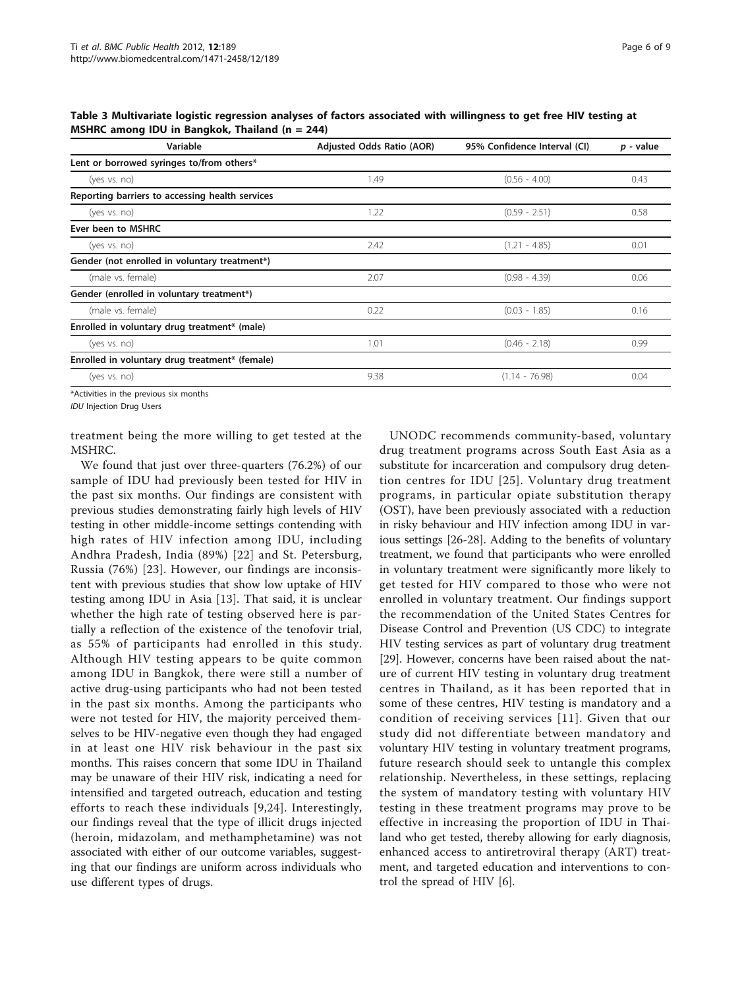<span id="page-5-0"></span>Table 3 Multivariate logistic regression analyses of factors associated with willingness to get free HIV testing at MSHRC among IDU in Bangkok, Thailand (n = 244)

| Variable                                        | Adjusted Odds Ratio (AOR) | 95% Confidence Interval (CI) | $p$ - value |
|-------------------------------------------------|---------------------------|------------------------------|-------------|
| Lent or borrowed syringes to/from others*       |                           |                              |             |
| (yes vs. no)                                    | 1.49                      | $(0.56 - 4.00)$              | 0.43        |
| Reporting barriers to accessing health services |                           |                              |             |
| (yes vs. no)                                    | 1.22                      | $(0.59 - 2.51)$              | 0.58        |
| Ever been to MSHRC                              |                           |                              |             |
| (yes vs. no)                                    | 2.42                      | $(1.21 - 4.85)$              | 0.01        |
| Gender (not enrolled in voluntary treatment*)   |                           |                              |             |
| (male vs. female)                               | 2.07                      | $(0.98 - 4.39)$              | 0.06        |
| Gender (enrolled in voluntary treatment*)       |                           |                              |             |
| (male vs. female)                               | 0.22                      | $(0.03 - 1.85)$              | 0.16        |
| Enrolled in voluntary drug treatment* (male)    |                           |                              |             |
| (yes vs. no)                                    | 1.01                      | $(0.46 - 2.18)$              | 0.99        |
| Enrolled in voluntary drug treatment* (female)  |                           |                              |             |
| (yes vs. no)                                    | 9.38                      | $(1.14 - 76.98)$             | 0.04        |

\*Activities in the previous six months

IDU Injection Drug Users

treatment being the more willing to get tested at the MSHRC.

We found that just over three-quarters (76.2%) of our sample of IDU had previously been tested for HIV in the past six months. Our findings are consistent with previous studies demonstrating fairly high levels of HIV testing in other middle-income settings contending with high rates of HIV infection among IDU, including Andhra Pradesh, India (89%) [\[22\]](#page-7-0) and St. Petersburg, Russia (76%) [[23\]](#page-7-0). However, our findings are inconsistent with previous studies that show low uptake of HIV testing among IDU in Asia [[13\]](#page-7-0). That said, it is unclear whether the high rate of testing observed here is partially a reflection of the existence of the tenofovir trial, as 55% of participants had enrolled in this study. Although HIV testing appears to be quite common among IDU in Bangkok, there were still a number of active drug-using participants who had not been tested in the past six months. Among the participants who were not tested for HIV, the majority perceived themselves to be HIV-negative even though they had engaged in at least one HIV risk behaviour in the past six months. This raises concern that some IDU in Thailand may be unaware of their HIV risk, indicating a need for intensified and targeted outreach, education and testing efforts to reach these individuals [[9,24\]](#page-7-0). Interestingly, our findings reveal that the type of illicit drugs injected (heroin, midazolam, and methamphetamine) was not associated with either of our outcome variables, suggesting that our findings are uniform across individuals who use different types of drugs.

UNODC recommends community-based, voluntary drug treatment programs across South East Asia as a substitute for incarceration and compulsory drug detention centres for IDU [[25](#page-7-0)]. Voluntary drug treatment programs, in particular opiate substitution therapy (OST), have been previously associated with a reduction in risky behaviour and HIV infection among IDU in various settings [[26-28\]](#page-7-0). Adding to the benefits of voluntary treatment, we found that participants who were enrolled in voluntary treatment were significantly more likely to get tested for HIV compared to those who were not enrolled in voluntary treatment. Our findings support the recommendation of the United States Centres for Disease Control and Prevention (US CDC) to integrate HIV testing services as part of voluntary drug treatment [[29\]](#page-7-0). However, concerns have been raised about the nature of current HIV testing in voluntary drug treatment centres in Thailand, as it has been reported that in some of these centres, HIV testing is mandatory and a condition of receiving services [[11\]](#page-7-0). Given that our study did not differentiate between mandatory and voluntary HIV testing in voluntary treatment programs, future research should seek to untangle this complex relationship. Nevertheless, in these settings, replacing the system of mandatory testing with voluntary HIV testing in these treatment programs may prove to be effective in increasing the proportion of IDU in Thailand who get tested, thereby allowing for early diagnosis, enhanced access to antiretroviral therapy (ART) treatment, and targeted education and interventions to control the spread of HIV [\[6](#page-7-0)].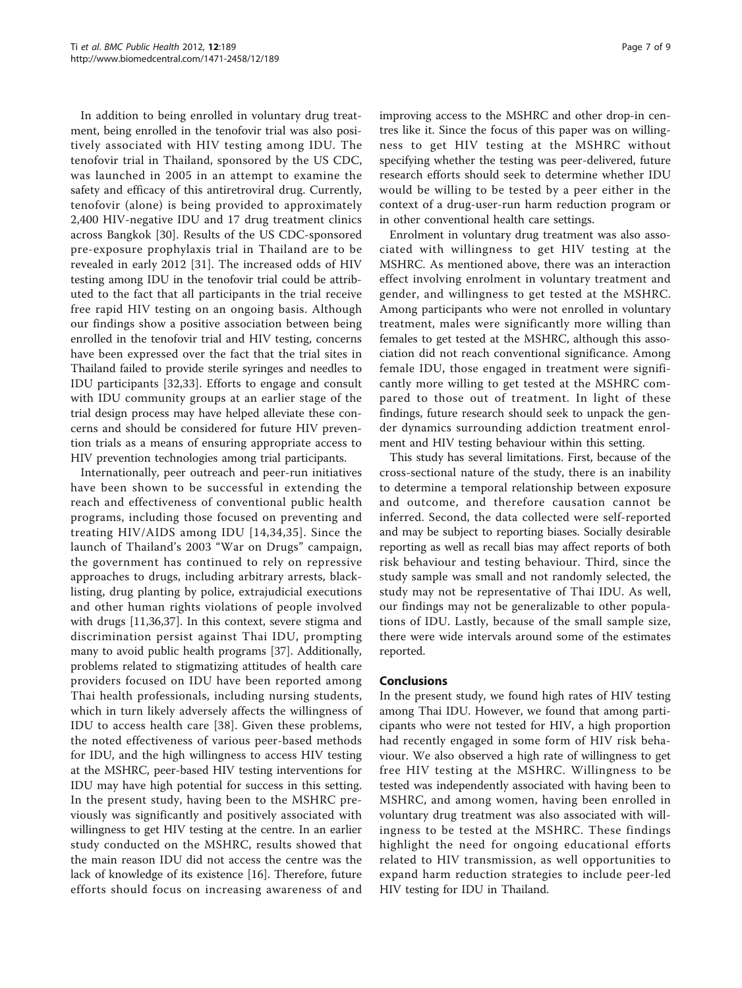In addition to being enrolled in voluntary drug treatment, being enrolled in the tenofovir trial was also positively associated with HIV testing among IDU. The tenofovir trial in Thailand, sponsored by the US CDC, was launched in 2005 in an attempt to examine the safety and efficacy of this antiretroviral drug. Currently, tenofovir (alone) is being provided to approximately 2,400 HIV-negative IDU and 17 drug treatment clinics across Bangkok [\[30](#page-7-0)]. Results of the US CDC-sponsored pre-exposure prophylaxis trial in Thailand are to be revealed in early 2012 [\[31](#page-7-0)]. The increased odds of HIV testing among IDU in the tenofovir trial could be attributed to the fact that all participants in the trial receive free rapid HIV testing on an ongoing basis. Although our findings show a positive association between being enrolled in the tenofovir trial and HIV testing, concerns have been expressed over the fact that the trial sites in Thailand failed to provide sterile syringes and needles to IDU participants [\[32](#page-7-0),[33\]](#page-7-0). Efforts to engage and consult with IDU community groups at an earlier stage of the trial design process may have helped alleviate these concerns and should be considered for future HIV prevention trials as a means of ensuring appropriate access to HIV prevention technologies among trial participants.

Internationally, peer outreach and peer-run initiatives have been shown to be successful in extending the reach and effectiveness of conventional public health programs, including those focused on preventing and treating HIV/AIDS among IDU [[14](#page-7-0),[34](#page-8-0),[35](#page-8-0)]. Since the launch of Thailand's 2003 "War on Drugs" campaign, the government has continued to rely on repressive approaches to drugs, including arbitrary arrests, blacklisting, drug planting by police, extrajudicial executions and other human rights violations of people involved with drugs [\[11](#page-7-0)[,36,37](#page-8-0)]. In this context, severe stigma and discrimination persist against Thai IDU, prompting many to avoid public health programs [\[37](#page-8-0)]. Additionally, problems related to stigmatizing attitudes of health care providers focused on IDU have been reported among Thai health professionals, including nursing students, which in turn likely adversely affects the willingness of IDU to access health care [[38](#page-8-0)]. Given these problems, the noted effectiveness of various peer-based methods for IDU, and the high willingness to access HIV testing at the MSHRC, peer-based HIV testing interventions for IDU may have high potential for success in this setting. In the present study, having been to the MSHRC previously was significantly and positively associated with willingness to get HIV testing at the centre. In an earlier study conducted on the MSHRC, results showed that the main reason IDU did not access the centre was the lack of knowledge of its existence [[16\]](#page-7-0). Therefore, future efforts should focus on increasing awareness of and improving access to the MSHRC and other drop-in centres like it. Since the focus of this paper was on willingness to get HIV testing at the MSHRC without specifying whether the testing was peer-delivered, future research efforts should seek to determine whether IDU would be willing to be tested by a peer either in the context of a drug-user-run harm reduction program or in other conventional health care settings.

Enrolment in voluntary drug treatment was also associated with willingness to get HIV testing at the MSHRC. As mentioned above, there was an interaction effect involving enrolment in voluntary treatment and gender, and willingness to get tested at the MSHRC. Among participants who were not enrolled in voluntary treatment, males were significantly more willing than females to get tested at the MSHRC, although this association did not reach conventional significance. Among female IDU, those engaged in treatment were significantly more willing to get tested at the MSHRC compared to those out of treatment. In light of these findings, future research should seek to unpack the gender dynamics surrounding addiction treatment enrolment and HIV testing behaviour within this setting.

This study has several limitations. First, because of the cross-sectional nature of the study, there is an inability to determine a temporal relationship between exposure and outcome, and therefore causation cannot be inferred. Second, the data collected were self-reported and may be subject to reporting biases. Socially desirable reporting as well as recall bias may affect reports of both risk behaviour and testing behaviour. Third, since the study sample was small and not randomly selected, the study may not be representative of Thai IDU. As well, our findings may not be generalizable to other populations of IDU. Lastly, because of the small sample size, there were wide intervals around some of the estimates reported.

## Conclusions

In the present study, we found high rates of HIV testing among Thai IDU. However, we found that among participants who were not tested for HIV, a high proportion had recently engaged in some form of HIV risk behaviour. We also observed a high rate of willingness to get free HIV testing at the MSHRC. Willingness to be tested was independently associated with having been to MSHRC, and among women, having been enrolled in voluntary drug treatment was also associated with willingness to be tested at the MSHRC. These findings highlight the need for ongoing educational efforts related to HIV transmission, as well opportunities to expand harm reduction strategies to include peer-led HIV testing for IDU in Thailand.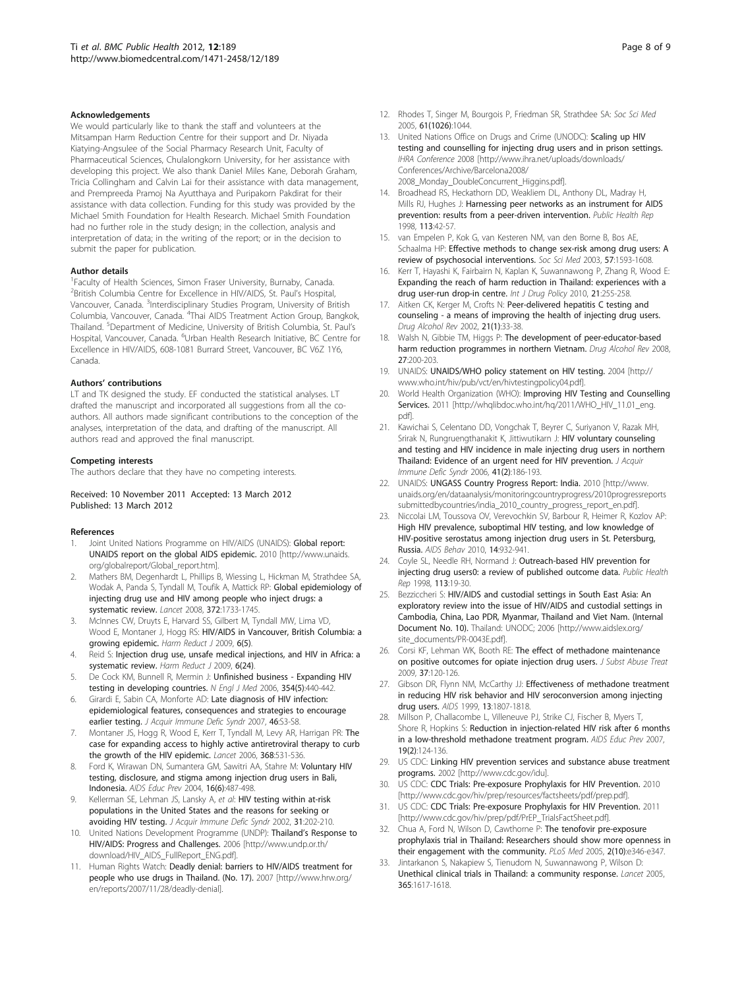#### <span id="page-7-0"></span>Acknowledgements

We would particularly like to thank the staff and volunteers at the Mitsampan Harm Reduction Centre for their support and Dr. Niyada Kiatying-Angsulee of the Social Pharmacy Research Unit, Faculty of Pharmaceutical Sciences, Chulalongkorn University, for her assistance with developing this project. We also thank Daniel Miles Kane, Deborah Graham, Tricia Collingham and Calvin Lai for their assistance with data management, and Prempreeda Pramoj Na Ayutthaya and Puripakorn Pakdirat for their assistance with data collection. Funding for this study was provided by the Michael Smith Foundation for Health Research. Michael Smith Foundation had no further role in the study design; in the collection, analysis and interpretation of data; in the writing of the report; or in the decision to submit the paper for publication.

#### Author details

<sup>1</sup> Faculty of Health Sciences, Simon Fraser University, Burnaby, Canada. <sup>2</sup>British Columbia Centre for Excellence in HIV/AIDS, St. Paul's Hospital, Vancouver, Canada. <sup>3</sup>Interdisciplinary Studies Program, University of British Columbia, Vancouver, Canada. <sup>4</sup>Thai AIDS Treatment Action Group, Bangkok, Thailand. <sup>5</sup>Department of Medicine, University of British Columbia, St. Paul's Hospital, Vancouver, Canada. <sup>6</sup>Urban Health Research Initiative, BC Centre for Excellence in HIV/AIDS, 608-1081 Burrard Street, Vancouver, BC V6Z 1Y6, Canada.

#### Authors' contributions

LT and TK designed the study. EF conducted the statistical analyses. LT drafted the manuscript and incorporated all suggestions from all the coauthors. All authors made significant contributions to the conception of the analyses, interpretation of the data, and drafting of the manuscript. All authors read and approved the final manuscript.

#### Competing interests

The authors declare that they have no competing interests.

#### Received: 10 November 2011 Accepted: 13 March 2012 Published: 13 March 2012

#### References

- 1. Joint United Nations Programme on HIV/AIDS (UNAIDS): Global report: UNAIDS report on the global AIDS epidemic. 2010 [\[http://www.unaids.](http://www.unaids.org/globalreport/Global_report.htm) [org/globalreport/Global\\_report.htm\]](http://www.unaids.org/globalreport/Global_report.htm).
- 2. Mathers BM, Degenhardt L, Phillips B, Wiessing L, Hickman M, Strathdee SA, Wodak A, Panda S, Tyndall M, Toufik A, Mattick RP: [Global epidemiology of](http://www.ncbi.nlm.nih.gov/pubmed/18817968?dopt=Abstract) [injecting drug use and HIV among people who inject drugs: a](http://www.ncbi.nlm.nih.gov/pubmed/18817968?dopt=Abstract) [systematic review.](http://www.ncbi.nlm.nih.gov/pubmed/18817968?dopt=Abstract) Lancet 2008, 372:1733-1745.
- 3. McInnes CW, Druyts E, Harvard SS, Gilbert M, Tyndall MW, Lima VD, Wood E, Montaner J, Hogg RS: HIV/AIDS in Vancouver, British Columbia: a growing epidemic. Harm Reduct J 2009, 6(5).
- 4. Reid S: Injection drug use, unsafe medical injections, and HIV in Africa: a systematic review. Harm Reduct J 2009, 6(24).
- 5. De Cock KM, Bunnell R, Mermin J: [Unfinished business Expanding HIV](http://www.ncbi.nlm.nih.gov/pubmed/16452554?dopt=Abstract) [testing in developing countries.](http://www.ncbi.nlm.nih.gov/pubmed/16452554?dopt=Abstract) N Engl J Med 2006, 354(5):440-442.
- 6. Girardi E, Sabin CA, Monforte AD: [Late diagnosis of HIV infection:](http://www.ncbi.nlm.nih.gov/pubmed/17713423?dopt=Abstract) [epidemiological features, consequences and strategies to encourage](http://www.ncbi.nlm.nih.gov/pubmed/17713423?dopt=Abstract) [earlier testing.](http://www.ncbi.nlm.nih.gov/pubmed/17713423?dopt=Abstract) J Acquir Immune Defic Syndr 2007, 46:S3-S8.
- 7. Montaner JS, Hogg R, Wood E, Kerr T, Tyndall M, Levy AR, Harrigan PR: [The](http://www.ncbi.nlm.nih.gov/pubmed/16890841?dopt=Abstract) [case for expanding access to highly active antiretroviral therapy to curb](http://www.ncbi.nlm.nih.gov/pubmed/16890841?dopt=Abstract) [the growth of the HIV epidemic.](http://www.ncbi.nlm.nih.gov/pubmed/16890841?dopt=Abstract) Lancet 2006, 368:531-536.
- 8. Ford K, Wirawan DN, Sumantera GM, Sawitri AA, Stahre M: [Voluntary HIV](http://www.ncbi.nlm.nih.gov/pubmed/15585426?dopt=Abstract) [testing, disclosure, and stigma among injection drug users in Bali,](http://www.ncbi.nlm.nih.gov/pubmed/15585426?dopt=Abstract) [Indonesia.](http://www.ncbi.nlm.nih.gov/pubmed/15585426?dopt=Abstract) AIDS Educ Prev 2004, 16(6):487-498.
- Kellerman SE, Lehman JS, Lansky A, et al: [HIV testing within at-risk](http://www.ncbi.nlm.nih.gov/pubmed/12394799?dopt=Abstract) [populations in the United States and the reasons for seeking or](http://www.ncbi.nlm.nih.gov/pubmed/12394799?dopt=Abstract) [avoiding HIV testing.](http://www.ncbi.nlm.nih.gov/pubmed/12394799?dopt=Abstract) J Acquir Immune Defic Syndr 2002, 31:202-210.
- 10. United Nations Development Programme (UNDP): Thailand's Response to HIV/AIDS: Progress and Challenges. 2006 [\[http://www.undp.or.th/](http://www.undp.or.th/download/HIV_AIDS_FullReport_ENG.pdf) [download/HIV\\_AIDS\\_FullReport\\_ENG.pdf\]](http://www.undp.or.th/download/HIV_AIDS_FullReport_ENG.pdf).
- 11. Human Rights Watch: Deadly denial: barriers to HIV/AIDS treatment for people who use drugs in Thailand. (No. 17). 2007 [[http://www.hrw.org/](http://www.hrw.org/en/reports/2007/11/28/deadly-denial) [en/reports/2007/11/28/deadly-denial](http://www.hrw.org/en/reports/2007/11/28/deadly-denial)].
- 12. Rhodes T, Singer M, Bourgois P, Friedman SR, Strathdee SA: Soc Sci Med 2005, 61(1026):1044.
- 13. United Nations Office on Drugs and Crime (UNODC): Scaling up HIV testing and counselling for injecting drug users and in prison settings. IHRA Conference 2008 [\[http://www.ihra.net/uploads/downloads/](http://www.ihra.net/uploads/downloads/Conferences/Archive/Barcelona2008/2008_Monday_DoubleConcurrent_Higgins.pdf) [Conferences/Archive/Barcelona2008/](http://www.ihra.net/uploads/downloads/Conferences/Archive/Barcelona2008/2008_Monday_DoubleConcurrent_Higgins.pdf) 2008 Monday DoubleConcurrent Higgins.pdf].
- 14. Broadhead RS, Heckathorn DD, Weakliem DL, Anthony DL, Madray H, Mills RJ, Hughes J: [Harnessing peer networks as an instrument for AIDS](http://www.ncbi.nlm.nih.gov/pubmed/9722809?dopt=Abstract) [prevention: results from a peer-driven intervention.](http://www.ncbi.nlm.nih.gov/pubmed/9722809?dopt=Abstract) Public Health Rep 1998, 113:42-57.
- 15. van Empelen P, Kok G, van Kesteren NM, van den Borne B, Bos AE, Schaalma HP: [Effective methods to change sex-risk among drug users: A](http://www.ncbi.nlm.nih.gov/pubmed/12948569?dopt=Abstract) [review of psychosocial interventions.](http://www.ncbi.nlm.nih.gov/pubmed/12948569?dopt=Abstract) Soc Sci Med 2003, 57:1593-1608.
- 16. Kerr T, Hayashi K, Fairbairn N, Kaplan K, Suwannawong P, Zhang R, Wood E: [Expanding the reach of harm reduction in Thailand: experiences with a](http://www.ncbi.nlm.nih.gov/pubmed/19766474?dopt=Abstract) [drug user-run drop-in centre.](http://www.ncbi.nlm.nih.gov/pubmed/19766474?dopt=Abstract) Int J Drug Policy 2010, 21:255-258.
- 17. Aitken CK, Kerger M, Crofts N: [Peer-delivered hepatitis C testing and](http://www.ncbi.nlm.nih.gov/pubmed/12189002?dopt=Abstract) [counseling - a means of improving the health of injecting drug users.](http://www.ncbi.nlm.nih.gov/pubmed/12189002?dopt=Abstract) Drug Alcohol Rev 2002, 21(1):33-38.
- 18. Walsh N, Gibbie TM, Higgs P: [The development of peer-educator-based](http://www.ncbi.nlm.nih.gov/pubmed/18264883?dopt=Abstract) [harm reduction programmes in northern Vietnam.](http://www.ncbi.nlm.nih.gov/pubmed/18264883?dopt=Abstract) Drug Alcohol Rev 2008, 27:200-203.
- 19. UNAIDS: UNAIDS/WHO policy statement on HIV testing. 2004 [[http://](http://www.who.int/hiv/pub/vct/en/hivtestingpolicy04.pdf) [www.who.int/hiv/pub/vct/en/hivtestingpolicy04.pdf\]](http://www.who.int/hiv/pub/vct/en/hivtestingpolicy04.pdf).
- 20. World Health Organization (WHO): Improving HIV Testing and Counselling Services. 2011 [\[http://whqlibdoc.who.int/hq/2011/WHO\\_HIV\\_11.01\\_eng.](http://whqlibdoc.who.int/hq/2011/WHO_HIV_11.01_eng.pdf) [pdf](http://whqlibdoc.who.int/hq/2011/WHO_HIV_11.01_eng.pdf)].
- 21. Kawichai S, Celentano DD, Vongchak T, Beyrer C, Suriyanon V, Razak MH, Srirak N, Rungruengthanakit K, Jittiwutikarn J: [HIV voluntary counseling](http://www.ncbi.nlm.nih.gov/pubmed/16394851?dopt=Abstract) [and testing and HIV incidence in male injecting drug users in northern](http://www.ncbi.nlm.nih.gov/pubmed/16394851?dopt=Abstract) [Thailand: Evidence of an urgent need for HIV prevention.](http://www.ncbi.nlm.nih.gov/pubmed/16394851?dopt=Abstract) J Acquir Immune Defic Syndr 2006, 41(2):186-193.
- 22. UNAIDS: UNGASS Country Progress Report: India. 2010 [\[http://www.](http://www.unaids.org/en/dataanalysis/monitoringcountryprogress/2010progressreportssubmittedbycountries/india_2010_country_progress_report_en.pdf) [unaids.org/en/dataanalysis/monitoringcountryprogress/2010progressreports](http://www.unaids.org/en/dataanalysis/monitoringcountryprogress/2010progressreportssubmittedbycountries/india_2010_country_progress_report_en.pdf) [submittedbycountries/india\\_2010\\_country\\_progress\\_report\\_en.pdf\]](http://www.unaids.org/en/dataanalysis/monitoringcountryprogress/2010progressreportssubmittedbycountries/india_2010_country_progress_report_en.pdf).
- 23. Niccolai LM, Toussova OV, Verevochkin SV, Barbour R, Heimer R, Kozlov AP: [High HIV prevalence, suboptimal HIV testing, and low knowledge of](http://www.ncbi.nlm.nih.gov/pubmed/18843531?dopt=Abstract) [HIV-positive serostatus among injection drug users in St. Petersburg,](http://www.ncbi.nlm.nih.gov/pubmed/18843531?dopt=Abstract) [Russia.](http://www.ncbi.nlm.nih.gov/pubmed/18843531?dopt=Abstract) AIDS Behav 2010, 14:932-941.
- 24. Coyle SL, Needle RH, Normand J: [Outreach-based HIV prevention for](http://www.ncbi.nlm.nih.gov/pubmed/9722807?dopt=Abstract) [injecting drug users0: a review of published outcome data.](http://www.ncbi.nlm.nih.gov/pubmed/9722807?dopt=Abstract) Public Health Rep 1998, 113:19-30.
- 25. Bezziccheri S: HIV/AIDS and custodial settings in South East Asia: An exploratory review into the issue of HIV/AIDS and custodial settings in Cambodia, China, Lao PDR, Myanmar, Thailand and Viet Nam. (Internal Document No. 10). Thailand: UNODC; 2006 [[http://www.aidslex.org/](http://www.aidslex.org/site_documents/PR-0043E.pdf) [site\\_documents/PR-0043E.pdf](http://www.aidslex.org/site_documents/PR-0043E.pdf)].
- 26. Corsi KF, Lehman WK, Booth RE: [The effect of methadone maintenance](http://www.ncbi.nlm.nih.gov/pubmed/19150202?dopt=Abstract) [on positive outcomes for opiate injection drug users.](http://www.ncbi.nlm.nih.gov/pubmed/19150202?dopt=Abstract) J Subst Abuse Treat 2009, 37:120-126.
- 27. Gibson DR, Flynn NM, McCarthy JJ: [Effectiveness of methadone treatment](http://www.ncbi.nlm.nih.gov/pubmed/10513638?dopt=Abstract) [in reducing HIV risk behavior and HIV seroconversion among injecting](http://www.ncbi.nlm.nih.gov/pubmed/10513638?dopt=Abstract) [drug users.](http://www.ncbi.nlm.nih.gov/pubmed/10513638?dopt=Abstract) AIDS 1999, 13:1807-1818.
- 28. Millson P, Challacombe L, Villeneuve PJ, Strike CJ, Fischer B, Myers T, Shore R, Hopkins S: [Reduction in injection-related HIV risk after 6 months](http://www.ncbi.nlm.nih.gov/pubmed/17411415?dopt=Abstract) [in a low-threshold methadone treatment program.](http://www.ncbi.nlm.nih.gov/pubmed/17411415?dopt=Abstract) AIDS Educ Prev 2007, 19(2):124-136.
- 29. US CDC: Linking HIV prevention services and substance abuse treatment programs. 2002 [[http://www.cdc.gov/idu\]](http://www.cdc.gov/idu).
- US CDC: CDC Trials: Pre-exposure Prophylaxis for HIV Prevention. 2010 [<http://www.cdc.gov/hiv/prep/resources/factsheets/pdf/prep.pdf>].
- 31. US CDC: CDC Trials: Pre-exposure Prophylaxis for HIV Prevention. 2011 [[http://www.cdc.gov/hiv/prep/pdf/PrEP\\_TrialsFactSheet.pdf](http://www.cdc.gov/hiv/prep/pdf/PrEP_TrialsFactSheet.pdf)].
- 32. Chua A, Ford N, Wilson D, Cawthorne P: [The tenofovir pre-exposure](http://www.ncbi.nlm.nih.gov/pubmed/16231979?dopt=Abstract) prophylaxis [trial in Thailand: Researchers should show more openness in](http://www.ncbi.nlm.nih.gov/pubmed/16231979?dopt=Abstract) [their engagement with the community.](http://www.ncbi.nlm.nih.gov/pubmed/16231979?dopt=Abstract) PLoS Med 2005, 2(10):e346-e347.
- Jintarkanon S, Nakapiew S, Tienudom N, Suwannawong P, Wilson D [Unethical clinical trials in Thailand: a community response.](http://www.ncbi.nlm.nih.gov/pubmed/15885289?dopt=Abstract) Lancet 2005, 365:1617-1618.